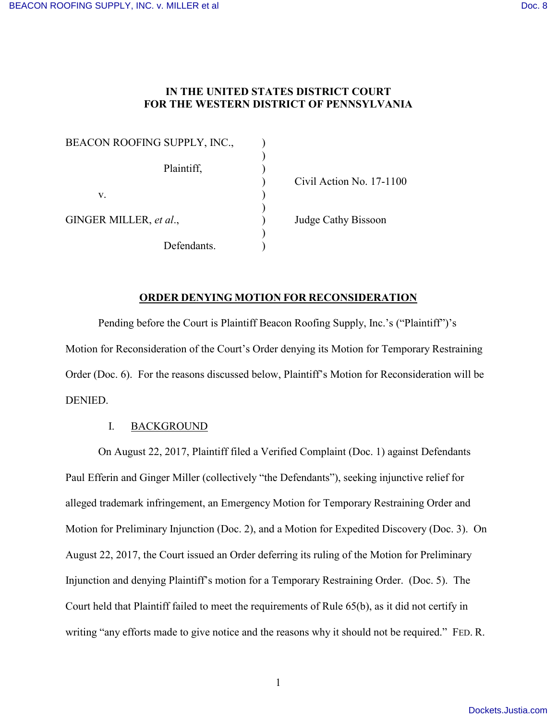# **IN THE UNITED STATES DISTRICT COURT FOR THE WESTERN DISTRICT OF PENNSYLVANIA**

| BEACON ROOFING SUPPLY, INC., |  |
|------------------------------|--|
|                              |  |
| Plaintiff,                   |  |
|                              |  |
| $V_{\tau}$                   |  |
|                              |  |
| GINGER MILLER, et al.,       |  |
|                              |  |
| Defendants.                  |  |

) Civil Action No. 17-1100

Judge Cathy Bissoon

### **ORDER DENYING MOTION FOR RECONSIDERATION**

Pending before the Court is Plaintiff Beacon Roofing Supply, Inc.'s ("Plaintiff")'s Motion for Reconsideration of the Court's Order denying its Motion for Temporary Restraining Order (Doc. 6). For the reasons discussed below, Plaintiff's Motion for Reconsideration will be DENIED.

# I. BACKGROUND

On August 22, 2017, Plaintiff filed a Verified Complaint (Doc. 1) against Defendants Paul Efferin and Ginger Miller (collectively "the Defendants"), seeking injunctive relief for alleged trademark infringement, an Emergency Motion for Temporary Restraining Order and Motion for Preliminary Injunction (Doc. 2), and a Motion for Expedited Discovery (Doc. 3). On August 22, 2017, the Court issued an Order deferring its ruling of the Motion for Preliminary Injunction and denying Plaintiff's motion for a Temporary Restraining Order. (Doc. 5). The Court held that Plaintiff failed to meet the requirements of Rule 65(b), as it did not certify in writing "any efforts made to give notice and the reasons why it should not be required." FED. R.

1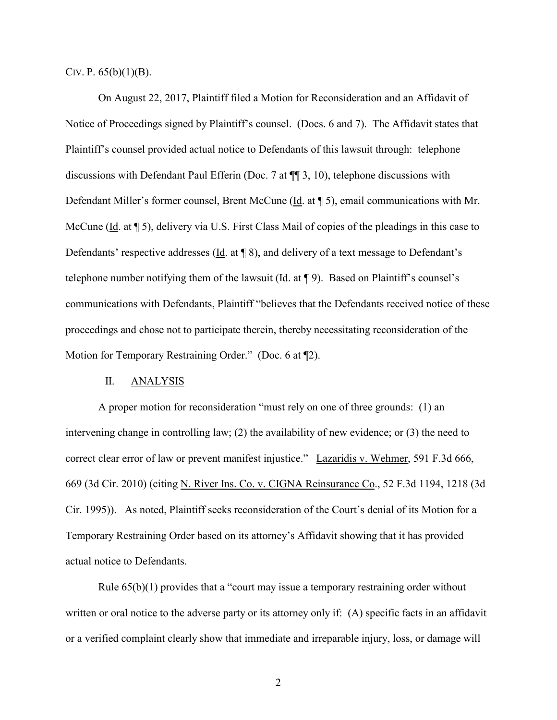CIV. P.  $65(b)(1)(B)$ .

On August 22, 2017, Plaintiff filed a Motion for Reconsideration and an Affidavit of Notice of Proceedings signed by Plaintiff's counsel. (Docs. 6 and 7). The Affidavit states that Plaintiff's counsel provided actual notice to Defendants of this lawsuit through: telephone discussions with Defendant Paul Efferin (Doc. 7 at ¶¶ 3, 10), telephone discussions with Defendant Miller's former counsel, Brent McCune (Id. at ¶ 5), email communications with Mr. McCune (Id. at  $\lceil 5 \rceil$ ), delivery via U.S. First Class Mail of copies of the pleadings in this case to Defendants' respective addresses (Id. at ¶ 8), and delivery of a text message to Defendant's telephone number notifying them of the lawsuit (Id. at ¶ 9). Based on Plaintiff's counsel's communications with Defendants, Plaintiff "believes that the Defendants received notice of these proceedings and chose not to participate therein, thereby necessitating reconsideration of the Motion for Temporary Restraining Order." (Doc. 6 at ¶2).

#### II. ANALYSIS

A proper motion for reconsideration "must rely on one of three grounds: (1) an intervening change in controlling law; (2) the availability of new evidence; or (3) the need to correct clear error of law or prevent manifest injustice." Lazaridis v. Wehmer, 591 F.3d 666, 669 (3d Cir. 2010) (citing N. River Ins. Co. v. CIGNA Reinsurance Co., 52 F.3d 1194, 1218 (3d Cir. 1995)). As noted, Plaintiff seeks reconsideration of the Court's denial of its Motion for a Temporary Restraining Order based on its attorney's Affidavit showing that it has provided actual notice to Defendants.

Rule 65(b)(1) provides that a "court may issue a temporary restraining order without written or oral notice to the adverse party or its attorney only if: (A) specific facts in an affidavit or a verified complaint clearly show that immediate and irreparable injury, loss, or damage will

2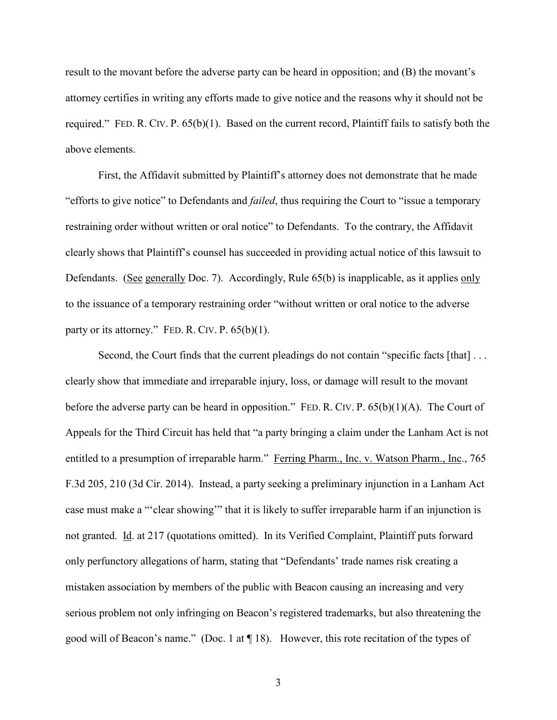result to the movant before the adverse party can be heard in opposition; and (B) the movant's attorney certifies in writing any efforts made to give notice and the reasons why it should not be required." FED. R. CIV. P. 65(b)(1). Based on the current record, Plaintiff fails to satisfy both the above elements.

First, the Affidavit submitted by Plaintiff's attorney does not demonstrate that he made "efforts to give notice" to Defendants and *failed*, thus requiring the Court to "issue a temporary restraining order without written or oral notice" to Defendants. To the contrary, the Affidavit clearly shows that Plaintiff's counsel has succeeded in providing actual notice of this lawsuit to Defendants. (See generally Doc. 7). Accordingly, Rule 65(b) is inapplicable, as it applies only to the issuance of a temporary restraining order "without written or oral notice to the adverse party or its attorney." FED. R. CIV. P.  $65(b)(1)$ .

Second, the Court finds that the current pleadings do not contain "specific facts [that] ... clearly show that immediate and irreparable injury, loss, or damage will result to the movant before the adverse party can be heard in opposition." FED. R. CIV. P.  $65(b)(1)(A)$ . The Court of Appeals for the Third Circuit has held that "a party bringing a claim under the Lanham Act is not entitled to a presumption of irreparable harm." Ferring Pharm., Inc. v. Watson Pharm., Inc., 765 F.3d 205, 210 (3d Cir. 2014). Instead, a party seeking a preliminary injunction in a Lanham Act case must make a "'clear showing'" that it is likely to suffer irreparable harm if an injunction is not granted. Id. at 217 (quotations omitted). In its Verified Complaint, Plaintiff puts forward only perfunctory allegations of harm, stating that "Defendants' trade names risk creating a mistaken association by members of the public with Beacon causing an increasing and very serious problem not only infringing on Beacon's registered trademarks, but also threatening the good will of Beacon's name." (Doc. 1 at ¶ 18). However, this rote recitation of the types of

3